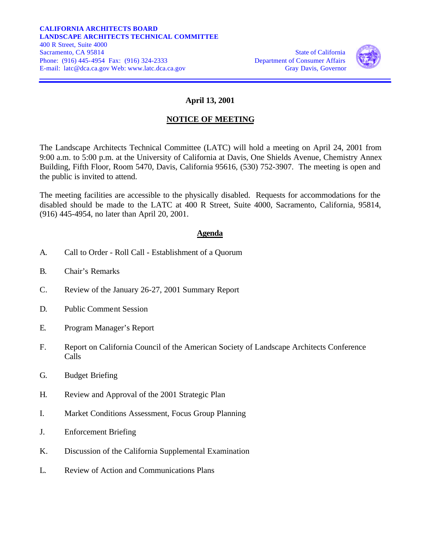

## **April 13, 2001**

## **NOTICE OF MEETING**

The Landscape Architects Technical Committee (LATC) will hold a meeting on April 24, 2001 from 9:00 a.m. to 5:00 p.m. at the University of California at Davis, One Shields Avenue, Chemistry Annex Building, Fifth Floor, Room 5470, Davis, California 95616, (530) 752-3907. The meeting is open and the public is invited to attend.

The meeting facilities are accessible to the physically disabled. Requests for accommodations for the disabled should be made to the LATC at 400 R Street, Suite 4000, Sacramento, California, 95814, (916) 445-4954, no later than April 20, 2001.

## **Agenda**

- A. Call to Order Roll Call Establishment of a Quorum
- B. Chair's Remarks
- C. Review of the January 26-27, 2001 Summary Report
- D. Public Comment Session
- E. Program Manager's Report
- F. Report on California Council of the American Society of Landscape Architects Conference Calls
- G. Budget Briefing
- H. Review and Approval of the 2001 Strategic Plan
- I. Market Conditions Assessment, Focus Group Planning
- J. Enforcement Briefing
- K. Discussion of the California Supplemental Examination
- L. Review of Action and Communications Plans